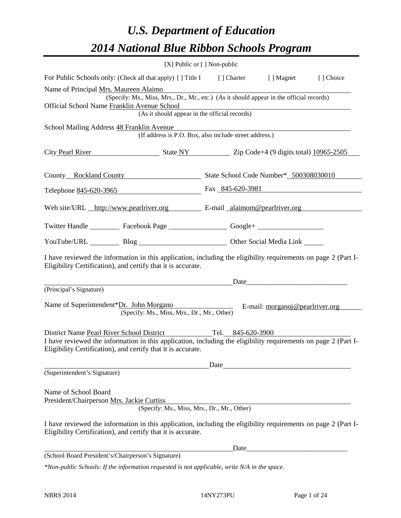# *U.S. Department of Education 2014 National Blue Ribbon Schools Program*

|                                                                                                                                                                                | [X] Public or [] Non-public                                                              |      |                                 |           |  |  |  |
|--------------------------------------------------------------------------------------------------------------------------------------------------------------------------------|------------------------------------------------------------------------------------------|------|---------------------------------|-----------|--|--|--|
| For Public Schools only: (Check all that apply) [] Title I [] Charter [] Magnet                                                                                                |                                                                                          |      |                                 | [] Choice |  |  |  |
| Name of Principal Mrs. Maureen Alaimo<br>Official School Name Franklin Avenue School                                                                                           | (Specify: Ms., Miss, Mrs., Dr., Mr., etc.) (As it should appear in the official records) |      |                                 |           |  |  |  |
| (As it should appear in the official records)                                                                                                                                  |                                                                                          |      |                                 |           |  |  |  |
| School Mailing Address 48 Franklin Avenue                                                                                                                                      | (If address is P.O. Box, also include street address.)                                   |      |                                 |           |  |  |  |
| City Pearl River State NY Zip Code+4 (9 digits total) 10965-2505                                                                                                               |                                                                                          |      |                                 |           |  |  |  |
| County Rockland County State School Code Number* 500308030010                                                                                                                  |                                                                                          |      |                                 |           |  |  |  |
| Telephone 845-620-3965 Fax 845-620-3981                                                                                                                                        |                                                                                          |      |                                 |           |  |  |  |
| Web site/URL http://www.pearlriver.org E-mail alaimom@pearlriver.org                                                                                                           |                                                                                          |      |                                 |           |  |  |  |
| Twitter Handle ___________ Facebook Page __________________ Google+ ____________                                                                                               |                                                                                          |      |                                 |           |  |  |  |
| YouTube/URL Blog Blog Discount Other Social Media Link                                                                                                                         |                                                                                          |      |                                 |           |  |  |  |
| I have reviewed the information in this application, including the eligibility requirements on page 2 (Part I-<br>Eligibility Certification), and certify that it is accurate. |                                                                                          |      |                                 |           |  |  |  |
|                                                                                                                                                                                | Date <u>Date</u>                                                                         |      |                                 |           |  |  |  |
| (Principal's Signature)                                                                                                                                                        |                                                                                          |      |                                 |           |  |  |  |
| Name of Superintendent*Dr. John Morgano                                                                                                                                        | (Specify: Ms., Miss, Mrs., Dr., Mr., Other)                                              |      | E-mail: morganoj@pearlriver.org |           |  |  |  |
| District Name Pearl River School District Tel. 845-620-3900                                                                                                                    |                                                                                          |      |                                 |           |  |  |  |
| I have reviewed the information in this application, including the eligibility requirements on page 2 (Part I-<br>Eligibility Certification), and certify that it is accurate. |                                                                                          |      |                                 |           |  |  |  |
|                                                                                                                                                                                |                                                                                          | Date |                                 |           |  |  |  |
| (Superintendent's Signature)                                                                                                                                                   |                                                                                          |      |                                 |           |  |  |  |
| Name of School Board<br>President/Chairperson Mrs. Jackie Curtiss                                                                                                              | (Specify: Ms., Miss, Mrs., Dr., Mr., Other)                                              |      |                                 |           |  |  |  |
| I have reviewed the information in this application, including the eligibility requirements on page 2 (Part I-<br>Eligibility Certification), and certify that it is accurate. |                                                                                          |      |                                 |           |  |  |  |
|                                                                                                                                                                                |                                                                                          | Date |                                 |           |  |  |  |
| (School Board President's/Chairperson's Signature)                                                                                                                             |                                                                                          |      |                                 |           |  |  |  |
| *Non-public Schools: If the information requested is not applicable, write N/A in the space.                                                                                   |                                                                                          |      |                                 |           |  |  |  |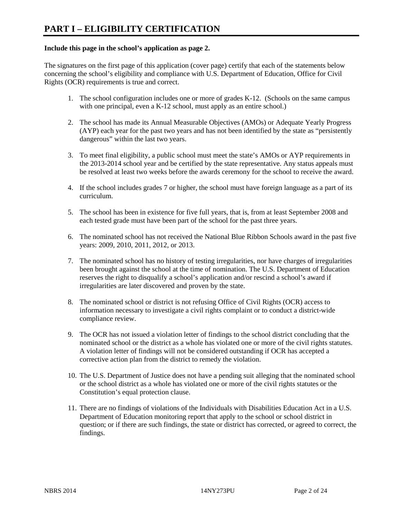#### **Include this page in the school's application as page 2.**

The signatures on the first page of this application (cover page) certify that each of the statements below concerning the school's eligibility and compliance with U.S. Department of Education, Office for Civil Rights (OCR) requirements is true and correct.

- 1. The school configuration includes one or more of grades K-12. (Schools on the same campus with one principal, even a K-12 school, must apply as an entire school.)
- 2. The school has made its Annual Measurable Objectives (AMOs) or Adequate Yearly Progress (AYP) each year for the past two years and has not been identified by the state as "persistently dangerous" within the last two years.
- 3. To meet final eligibility, a public school must meet the state's AMOs or AYP requirements in the 2013-2014 school year and be certified by the state representative. Any status appeals must be resolved at least two weeks before the awards ceremony for the school to receive the award.
- 4. If the school includes grades 7 or higher, the school must have foreign language as a part of its curriculum.
- 5. The school has been in existence for five full years, that is, from at least September 2008 and each tested grade must have been part of the school for the past three years.
- 6. The nominated school has not received the National Blue Ribbon Schools award in the past five years: 2009, 2010, 2011, 2012, or 2013.
- 7. The nominated school has no history of testing irregularities, nor have charges of irregularities been brought against the school at the time of nomination. The U.S. Department of Education reserves the right to disqualify a school's application and/or rescind a school's award if irregularities are later discovered and proven by the state.
- 8. The nominated school or district is not refusing Office of Civil Rights (OCR) access to information necessary to investigate a civil rights complaint or to conduct a district-wide compliance review.
- 9. The OCR has not issued a violation letter of findings to the school district concluding that the nominated school or the district as a whole has violated one or more of the civil rights statutes. A violation letter of findings will not be considered outstanding if OCR has accepted a corrective action plan from the district to remedy the violation.
- 10. The U.S. Department of Justice does not have a pending suit alleging that the nominated school or the school district as a whole has violated one or more of the civil rights statutes or the Constitution's equal protection clause.
- 11. There are no findings of violations of the Individuals with Disabilities Education Act in a U.S. Department of Education monitoring report that apply to the school or school district in question; or if there are such findings, the state or district has corrected, or agreed to correct, the findings.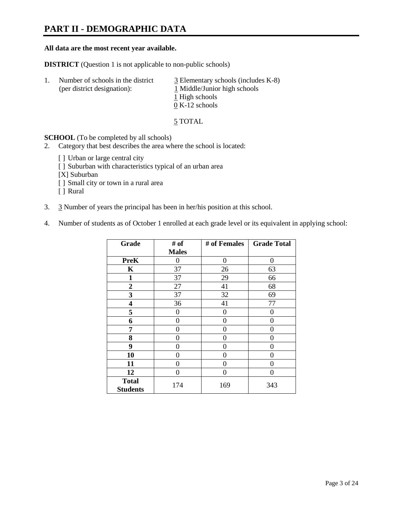## **PART II - DEMOGRAPHIC DATA**

#### **All data are the most recent year available.**

**DISTRICT** (Question 1 is not applicable to non-public schools)

| 1. | Number of schools in the district<br>(per district designation): | $\overline{3}$ Elementary schools (includes K-8)<br>1 Middle/Junior high schools<br>1 High schools<br>$0 K-12$ schools |
|----|------------------------------------------------------------------|------------------------------------------------------------------------------------------------------------------------|
|    |                                                                  |                                                                                                                        |

5 TOTAL

**SCHOOL** (To be completed by all schools)

- 2. Category that best describes the area where the school is located:
	- [] Urban or large central city
	- [ ] Suburban with characteristics typical of an urban area
	- [X] Suburban
	- [ ] Small city or town in a rural area
	- [ ] Rural
- 3. 3 Number of years the principal has been in her/his position at this school.
- 4. Number of students as of October 1 enrolled at each grade level or its equivalent in applying school:

| Grade                           | # of         | # of Females | <b>Grade Total</b> |
|---------------------------------|--------------|--------------|--------------------|
|                                 | <b>Males</b> |              |                    |
| <b>PreK</b>                     | 0            | $\theta$     | 0                  |
| K                               | 37           | 26           | 63                 |
| $\mathbf{1}$                    | 37           | 29           | 66                 |
| $\boldsymbol{2}$                | 27           | 41           | 68                 |
| 3                               | 37           | 32           | 69                 |
| 4                               | 36           | 41           | 77                 |
| 5                               | 0            | $\theta$     | 0                  |
| 6                               | 0            | 0            | 0                  |
| 7                               | 0            | 0            | 0                  |
| 8                               | 0            | 0            | 0                  |
| 9                               | 0            | 0            | 0                  |
| 10                              | 0            | 0            | 0                  |
| 11                              | 0            | 0            | 0                  |
| 12                              | 0            | $\Omega$     | 0                  |
| <b>Total</b><br><b>Students</b> | 174          | 169          | 343                |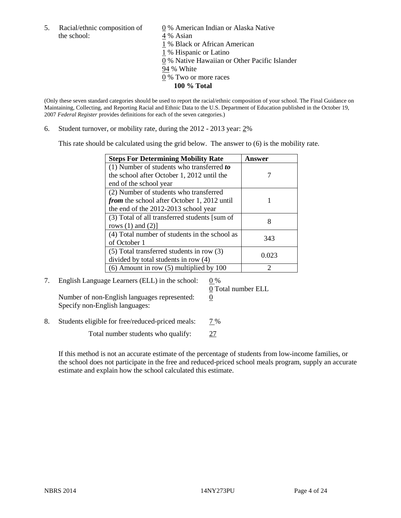5. Racial/ethnic composition of  $\qquad \qquad \underline{0}$  % American Indian or Alaska Native the school: 4 % Asian

 % Black or African American % Hispanic or Latino % Native Hawaiian or Other Pacific Islander 94 % White % Two or more races **100 % Total**

(Only these seven standard categories should be used to report the racial/ethnic composition of your school. The Final Guidance on Maintaining, Collecting, and Reporting Racial and Ethnic Data to the U.S. Department of Education published in the October 19, 2007 *Federal Register* provides definitions for each of the seven categories.)

6. Student turnover, or mobility rate, during the 2012 - 2013 year: 2%

This rate should be calculated using the grid below. The answer to (6) is the mobility rate.

| <b>Steps For Determining Mobility Rate</b>         | <b>Answer</b> |
|----------------------------------------------------|---------------|
| (1) Number of students who transferred to          |               |
| the school after October 1, 2012 until the         |               |
| end of the school year                             |               |
| (2) Number of students who transferred             |               |
| <i>from</i> the school after October 1, 2012 until |               |
| the end of the 2012-2013 school year               |               |
| (3) Total of all transferred students [sum of      | 8             |
| rows $(1)$ and $(2)$ ]                             |               |
| (4) Total number of students in the school as      | 343           |
| of October 1                                       |               |
| (5) Total transferred students in row (3)          | 0.023         |
| divided by total students in row (4)               |               |
| $(6)$ Amount in row $(5)$ multiplied by 100        | っ             |

7. English Language Learners (ELL) in the school:  $0\%$ 

Number of non-English languages represented:  $0$ Specify non-English languages:

0 Total number ELL

8. Students eligible for free/reduced-priced meals: 7%

Total number students who qualify: 27

If this method is not an accurate estimate of the percentage of students from low-income families, or the school does not participate in the free and reduced-priced school meals program, supply an accurate estimate and explain how the school calculated this estimate.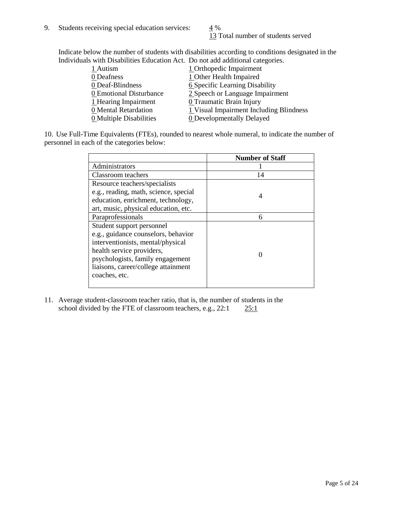13 Total number of students served

Indicate below the number of students with disabilities according to conditions designated in the Individuals with Disabilities Education Act. Do not add additional categories.

|                         | $11.2311$ as absolutely as well well below as $0.11$ and $0.11$ or the second second second well well well as $0.11$ |
|-------------------------|----------------------------------------------------------------------------------------------------------------------|
| 1 Autism                | 1 Orthopedic Impairment                                                                                              |
| 0 Deafness              | 1 Other Health Impaired                                                                                              |
| 0 Deaf-Blindness        | <b>6 Specific Learning Disability</b>                                                                                |
| 0 Emotional Disturbance | 2 Speech or Language Impairment                                                                                      |
| 1 Hearing Impairment    | 0 Traumatic Brain Injury                                                                                             |
| 0 Mental Retardation    | 1 Visual Impairment Including Blindness                                                                              |
| 0 Multiple Disabilities | <b>0</b> Developmentally Delayed                                                                                     |
|                         |                                                                                                                      |

10. Use Full-Time Equivalents (FTEs), rounded to nearest whole numeral, to indicate the number of personnel in each of the categories below:

|                                       | <b>Number of Staff</b> |
|---------------------------------------|------------------------|
| Administrators                        |                        |
| Classroom teachers                    | 14                     |
| Resource teachers/specialists         |                        |
| e.g., reading, math, science, special | 4                      |
| education, enrichment, technology,    |                        |
| art, music, physical education, etc.  |                        |
| Paraprofessionals                     | 6                      |
| Student support personnel             |                        |
| e.g., guidance counselors, behavior   |                        |
| interventionists, mental/physical     |                        |
| health service providers,             |                        |
| psychologists, family engagement      |                        |
| liaisons, career/college attainment   |                        |
| coaches, etc.                         |                        |
|                                       |                        |

11. Average student-classroom teacher ratio, that is, the number of students in the school divided by the FTE of classroom teachers, e.g.,  $22:1$   $25:1$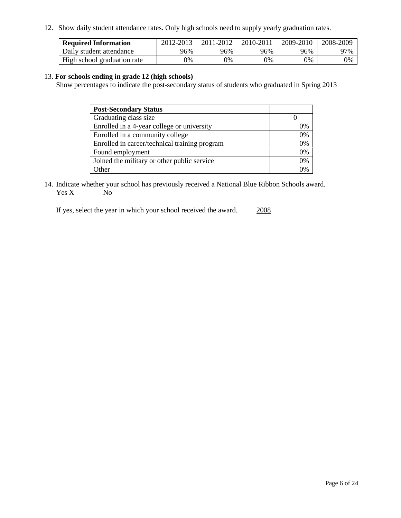12. Show daily student attendance rates. Only high schools need to supply yearly graduation rates.

| <b>Required Information</b> | 2012-2013 | 2011-2012 | 2010-2011 | 2009-2010 | 2008-2009 |
|-----------------------------|-----------|-----------|-----------|-----------|-----------|
| Daily student attendance    | 96%       | 96%       | 96%       | 96%       | 97%       |
| High school graduation rate | 0%        | 0%        | 0%        | 0%        | 0%        |

#### 13. **For schools ending in grade 12 (high schools)**

Show percentages to indicate the post-secondary status of students who graduated in Spring 2013

| <b>Post-Secondary Status</b>                  |          |
|-----------------------------------------------|----------|
| Graduating class size                         |          |
| Enrolled in a 4-year college or university    | 0%       |
| Enrolled in a community college               | 0%       |
| Enrolled in career/technical training program | 0%       |
| Found employment                              | 0%       |
| Joined the military or other public service   | 0%       |
| . Other                                       | $\gamma$ |

14. Indicate whether your school has previously received a National Blue Ribbon Schools award.  $Yes \underline{X}$  No

If yes, select the year in which your school received the award. 2008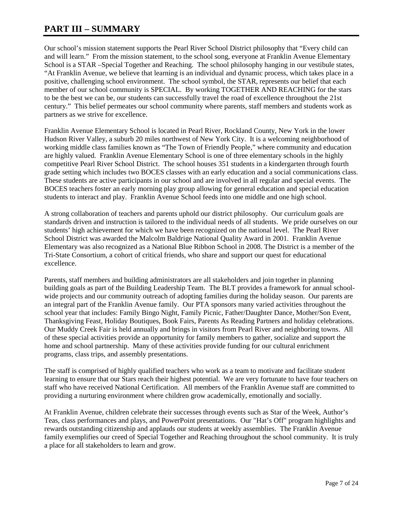## **PART III – SUMMARY**

Our school's mission statement supports the Pearl River School District philosophy that "Every child can and will learn." From the mission statement, to the school song, everyone at Franklin Avenue Elementary School is a STAR –Special Together and Reaching. The school philosophy hanging in our vestibule states, "At Franklin Avenue, we believe that learning is an individual and dynamic process, which takes place in a positive, challenging school environment. The school symbol, the STAR, represents our belief that each member of our school community is SPECIAL. By working TOGETHER AND REACHING for the stars to be the best we can be, our students can successfully travel the road of excellence throughout the 21st century." This belief permeates our school community where parents, staff members and students work as partners as we strive for excellence.

Franklin Avenue Elementary School is located in Pearl River, Rockland County, New York in the lower Hudson River Valley, a suburb 20 miles northwest of New York City. It is a welcoming neighborhood of working middle class families known as "The Town of Friendly People," where community and education are highly valued. Franklin Avenue Elementary School is one of three elementary schools in the highly competitive Pearl River School District. The school houses 351 students in a kindergarten through fourth grade setting which includes two BOCES classes with an early education and a social communications class. These students are active participants in our school and are involved in all regular and special events. The BOCES teachers foster an early morning play group allowing for general education and special education students to interact and play. Franklin Avenue School feeds into one middle and one high school.

A strong collaboration of teachers and parents uphold our district philosophy. Our curriculum goals are standards driven and instruction is tailored to the individual needs of all students. We pride ourselves on our students' high achievement for which we have been recognized on the national level. The Pearl River School District was awarded the Malcolm Baldrige National Quality Award in 2001. Franklin Avenue Elementary was also recognized as a National Blue Ribbon School in 2008. The District is a member of the Tri-State Consortium, a cohort of critical friends, who share and support our quest for educational excellence.

Parents, staff members and building administrators are all stakeholders and join together in planning building goals as part of the Building Leadership Team. The BLT provides a framework for annual schoolwide projects and our community outreach of adopting families during the holiday season. Our parents are an integral part of the Franklin Avenue family. Our PTA sponsors many varied activities throughout the school year that includes: Family Bingo Night, Family Picnic, Father/Daughter Dance, Mother/Son Event, Thanksgiving Feast, Holiday Boutiques, Book Fairs, Parents As Reading Partners and holiday celebrations. Our Muddy Creek Fair is held annually and brings in visitors from Pearl River and neighboring towns. All of these special activities provide an opportunity for family members to gather, socialize and support the home and school partnership. Many of these activities provide funding for our cultural enrichment programs, class trips, and assembly presentations.

The staff is comprised of highly qualified teachers who work as a team to motivate and facilitate student learning to ensure that our Stars reach their highest potential. We are very fortunate to have four teachers on staff who have received National Certification. All members of the Franklin Avenue staff are committed to providing a nurturing environment where children grow academically, emotionally and socially.

At Franklin Avenue, children celebrate their successes through events such as Star of the Week, Author's Teas, class performances and plays, and PowerPoint presentations. Our "Hat's Off" program highlights and rewards outstanding citizenship and applauds our students at weekly assemblies. The Franklin Avenue family exemplifies our creed of Special Together and Reaching throughout the school community. It is truly a place for all stakeholders to learn and grow.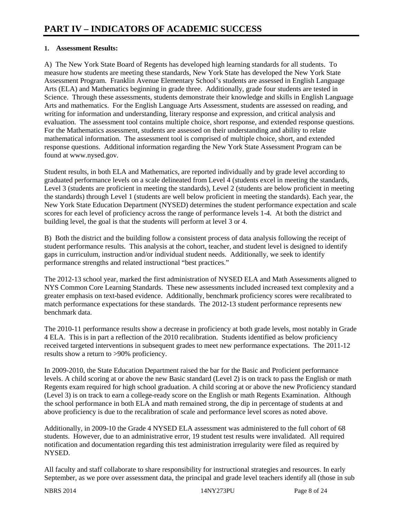### **1. Assessment Results:**

A) The New York State Board of Regents has developed high learning standards for all students. To measure how students are meeting these standards, New York State has developed the New York State Assessment Program. Franklin Avenue Elementary School's students are assessed in English Language Arts (ELA) and Mathematics beginning in grade three. Additionally, grade four students are tested in Science. Through these assessments, students demonstrate their knowledge and skills in English Language Arts and mathematics. For the English Language Arts Assessment, students are assessed on reading, and writing for information and understanding, literary response and expression, and critical analysis and evaluation. The assessment tool contains multiple choice, short response, and extended response questions. For the Mathematics assessment, students are assessed on their understanding and ability to relate mathematical information. The assessment tool is comprised of multiple choice, short, and extended response questions. Additional information regarding the New York State Assessment Program can be found at www.nysed.gov.

Student results, in both ELA and Mathematics, are reported individually and by grade level according to graduated performance levels on a scale delineated from Level 4 (students excel in meeting the standards, Level 3 (students are proficient in meeting the standards), Level 2 (students are below proficient in meeting the standards) through Level 1 (students are well below proficient in meeting the standards). Each year, the New York State Education Department (NYSED) determines the student performance expectation and scale scores for each level of proficiency across the range of performance levels 1-4. At both the district and building level, the goal is that the students will perform at level 3 or 4.

B) Both the district and the building follow a consistent process of data analysis following the receipt of student performance results. This analysis at the cohort, teacher, and student level is designed to identify gaps in curriculum, instruction and/or individual student needs. Additionally, we seek to identify performance strengths and related instructional "best practices."

The 2012-13 school year, marked the first administration of NYSED ELA and Math Assessments aligned to NYS Common Core Learning Standards. These new assessments included increased text complexity and a greater emphasis on text-based evidence. Additionally, benchmark proficiency scores were recalibrated to match performance expectations for these standards. The 2012-13 student performance represents new benchmark data.

The 2010-11 performance results show a decrease in proficiency at both grade levels, most notably in Grade 4 ELA. This is in part a reflection of the 2010 recalibration. Students identified as below proficiency received targeted interventions in subsequent grades to meet new performance expectations. The 2011-12 results show a return to >90% proficiency.

In 2009-2010, the State Education Department raised the bar for the Basic and Proficient performance levels. A child scoring at or above the new Basic standard (Level 2) is on track to pass the English or math Regents exam required for high school graduation. A child scoring at or above the new Proficiency standard (Level 3) is on track to earn a college-ready score on the English or math Regents Examination. Although the school performance in both ELA and math remained strong, the dip in percentage of students at and above proficiency is due to the recalibration of scale and performance level scores as noted above.

Additionally, in 2009-10 the Grade 4 NYSED ELA assessment was administered to the full cohort of 68 students. However, due to an administrative error, 19 student test results were invalidated. All required notification and documentation regarding this test administration irregularity were filed as required by **NYSED** 

All faculty and staff collaborate to share responsibility for instructional strategies and resources. In early September, as we pore over assessment data, the principal and grade level teachers identify all (those in sub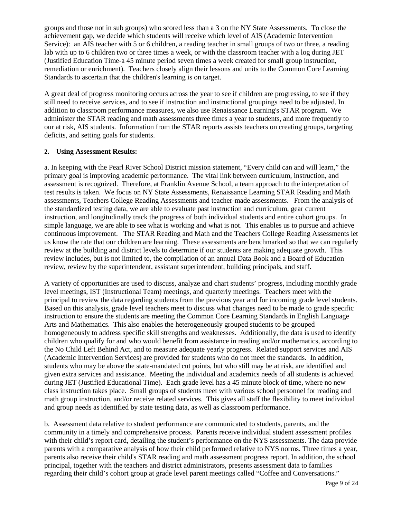groups and those not in sub groups) who scored less than a 3 on the NY State Assessments. To close the achievement gap, we decide which students will receive which level of AIS (Academic Intervention Service): an AIS teacher with 5 or 6 children, a reading teacher in small groups of two or three, a reading lab with up to 6 children two or three times a week, or with the classroom teacher with a log during JET (Justified Education Time-a 45 minute period seven times a week created for small group instruction, remediation or enrichment). Teachers closely align their lessons and units to the Common Core Learning Standards to ascertain that the children's learning is on target.

A great deal of progress monitoring occurs across the year to see if children are progressing, to see if they still need to receive services, and to see if instruction and instructional groupings need to be adjusted. In addition to classroom performance measures, we also use Renaissance Learning's STAR program. We administer the STAR reading and math assessments three times a year to students, and more frequently to our at risk, AIS students. Information from the STAR reports assists teachers on creating groups, targeting deficits, and setting goals for students.

#### **2. Using Assessment Results:**

a. In keeping with the Pearl River School District mission statement, "Every child can and will learn," the primary goal is improving academic performance. The vital link between curriculum, instruction, and assessment is recognized. Therefore, at Franklin Avenue School, a team approach to the interpretation of test results is taken. We focus on NY State Assessments, Renaissance Learning STAR Reading and Math assessments, Teachers College Reading Assessments and teacher-made assessments. From the analysis of the standardized testing data, we are able to evaluate past instruction and curriculum, gear current instruction, and longitudinally track the progress of both individual students and entire cohort groups. In simple language, we are able to see what is working and what is not. This enables us to pursue and achieve continuous improvement. The STAR Reading and Math and the Teachers College Reading Assessments let us know the rate that our children are learning. These assessments are benchmarked so that we can regularly review at the building and district levels to determine if our students are making adequate growth. This review includes, but is not limited to, the compilation of an annual Data Book and a Board of Education review, review by the superintendent, assistant superintendent, building principals, and staff.

A variety of opportunities are used to discuss, analyze and chart students' progress, including monthly grade level meetings, IST (Instructional Team) meetings, and quarterly meetings. Teachers meet with the principal to review the data regarding students from the previous year and for incoming grade level students. Based on this analysis, grade level teachers meet to discuss what changes need to be made to grade specific instruction to ensure the students are meeting the Common Core Learning Standards in English Language Arts and Mathematics. This also enables the heterogeneously grouped students to be grouped homogeneously to address specific skill strengths and weaknesses. Additionally, the data is used to identify children who qualify for and who would benefit from assistance in reading and/or mathematics, according to the No Child Left Behind Act, and to measure adequate yearly progress. Related support services and AIS (Academic Intervention Services) are provided for students who do not meet the standards. In addition, students who may be above the state-mandated cut points, but who still may be at risk, are identified and given extra services and assistance. Meeting the individual and academics needs of all students is achieved during JET (Justified Educational Time). Each grade level has a 45 minute block of time, where no new class instruction takes place. Small groups of students meet with various school personnel for reading and math group instruction, and/or receive related services. This gives all staff the flexibility to meet individual and group needs as identified by state testing data, as well as classroom performance.

b. Assessment data relative to student performance are communicated to students, parents, and the community in a timely and comprehensive process. Parents receive individual student assessment profiles with their child's report card, detailing the student's performance on the NYS assessments. The data provide parents with a comparative analysis of how their child performed relative to NYS norms. Three times a year, parents also receive their child's STAR reading and math assessment progress report. In addition, the school principal, together with the teachers and district administrators, presents assessment data to families regarding their child's cohort group at grade level parent meetings called "Coffee and Conversations."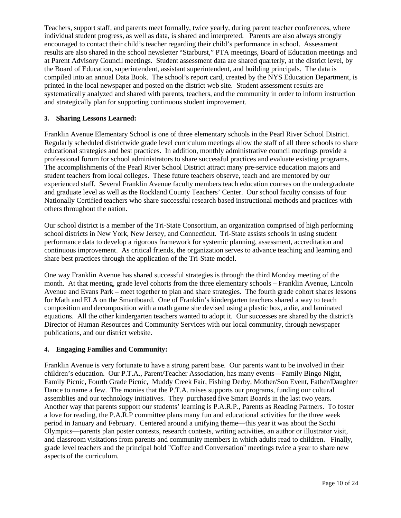Teachers, support staff, and parents meet formally, twice yearly, during parent teacher conferences, where individual student progress, as well as data, is shared and interpreted. Parents are also always strongly encouraged to contact their child's teacher regarding their child's performance in school. Assessment results are also shared in the school newsletter "Starburst," PTA meetings, Board of Education meetings and at Parent Advisory Council meetings. Student assessment data are shared quarterly, at the district level, by the Board of Education, superintendent, assistant superintendent, and building principals. The data is compiled into an annual Data Book. The school's report card, created by the NYS Education Department, is printed in the local newspaper and posted on the district web site. Student assessment results are systematically analyzed and shared with parents, teachers, and the community in order to inform instruction and strategically plan for supporting continuous student improvement.

#### **3. Sharing Lessons Learned:**

Franklin Avenue Elementary School is one of three elementary schools in the Pearl River School District. Regularly scheduled districtwide grade level curriculum meetings allow the staff of all three schools to share educational strategies and best practices. In addition, monthly administrative council meetings provide a professional forum for school administrators to share successful practices and evaluate existing programs. The accomplishments of the Pearl River School District attract many pre-service education majors and student teachers from local colleges. These future teachers observe, teach and are mentored by our experienced staff. Several Franklin Avenue faculty members teach education courses on the undergraduate and graduate level as well as the Rockland County Teachers' Center. Our school faculty consists of four Nationally Certified teachers who share successful research based instructional methods and practices with others throughout the nation.

Our school district is a member of the Tri-State Consortium, an organization comprised of high performing school districts in New York, New Jersey, and Connecticut. Tri-State assists schools in using student performance data to develop a rigorous framework for systemic planning, assessment, accreditation and continuous improvement. As critical friends, the organization serves to advance teaching and learning and share best practices through the application of the Tri-State model.

One way Franklin Avenue has shared successful strategies is through the third Monday meeting of the month. At that meeting, grade level cohorts from the three elementary schools – Franklin Avenue, Lincoln Avenue and Evans Park – meet together to plan and share strategies. The fourth grade cohort shares lessons for Math and ELA on the Smartboard. One of Franklin's kindergarten teachers shared a way to teach composition and decomposition with a math game she devised using a plastic box, a die, and laminated equations. All the other kindergarten teachers wanted to adopt it. Our successes are shared by the district's Director of Human Resources and Community Services with our local community, through newspaper publications, and our district website.

#### **4. Engaging Families and Community:**

Franklin Avenue is very fortunate to have a strong parent base. Our parents want to be involved in their children's education. Our P.T.A., Parent/Teacher Association, has many events—Family Bingo Night, Family Picnic, Fourth Grade Picnic, Muddy Creek Fair, Fishing Derby, Mother/Son Event, Father/Daughter Dance to name a few. The monies that the P.T.A. raises supports our programs, funding our cultural assemblies and our technology initiatives. They purchased five Smart Boards in the last two years. Another way that parents support our students' learning is P.A.R.P., Parents as Reading Partners. To foster a love for reading, the P.A.R.P committee plans many fun and educational activities for the three week period in January and February. Centered around a unifying theme—this year it was about the Sochi Olympics—parents plan poster contests, research contests, writing activities, an author or illustrator visit, and classroom visitations from parents and community members in which adults read to children. Finally, grade level teachers and the principal hold "Coffee and Conversation" meetings twice a year to share new aspects of the curriculum.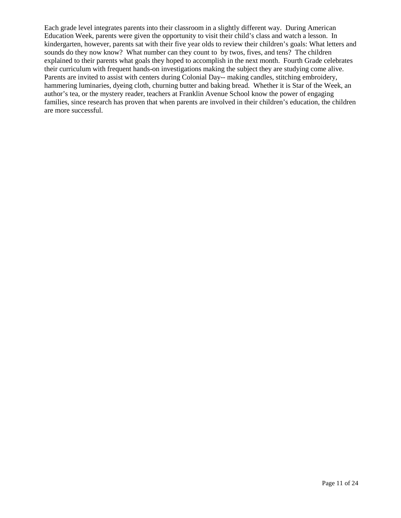Each grade level integrates parents into their classroom in a slightly different way. During American Education Week, parents were given the opportunity to visit their child's class and watch a lesson. In kindergarten, however, parents sat with their five year olds to review their children's goals: What letters and sounds do they now know? What number can they count to by twos, fives, and tens? The children explained to their parents what goals they hoped to accomplish in the next month. Fourth Grade celebrates their curriculum with frequent hands-on investigations making the subject they are studying come alive. Parents are invited to assist with centers during Colonial Day-- making candles, stitching embroidery, hammering luminaries, dyeing cloth, churning butter and baking bread. Whether it is Star of the Week, an author's tea, or the mystery reader, teachers at Franklin Avenue School know the power of engaging families, since research has proven that when parents are involved in their children's education, the children are more successful.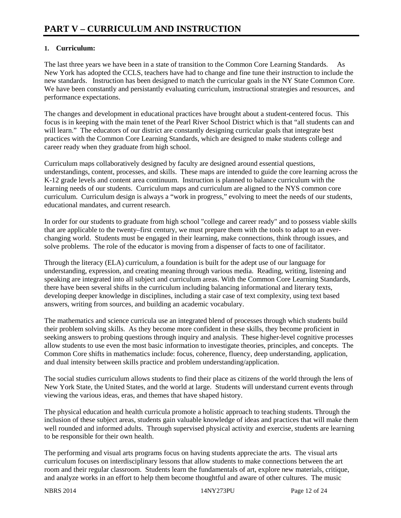## **1. Curriculum:**

The last three years we have been in a state of transition to the Common Core Learning Standards. As New York has adopted the CCLS, teachers have had to change and fine tune their instruction to include the new standards. Instruction has been designed to match the curricular goals in the NY State Common Core. We have been constantly and persistantly evaluating curriculum, instructional strategies and resources, and performance expectations.

The changes and development in educational practices have brought about a student-centered focus. This focus is in keeping with the main tenet of the Pearl River School District which is that "all students can and will learn." The educators of our district are constantly designing curricular goals that integrate best practices with the Common Core Learning Standards, which are designed to make students college and career ready when they graduate from high school.

Curriculum maps collaboratively designed by faculty are designed around essential questions, understandings, content, processes, and skills. These maps are intended to guide the core learning across the K-12 grade levels and content area continuum. Instruction is planned to balance curriculum with the learning needs of our students. Curriculum maps and curriculum are aligned to the NYS common core curriculum. Curriculum design is always a "work in progress," evolving to meet the needs of our students, educational mandates, and current research.

In order for our students to graduate from high school "college and career ready" and to possess viable skills that are applicable to the twenty–first century, we must prepare them with the tools to adapt to an everchanging world. Students must be engaged in their learning, make connections, think through issues, and solve problems. The role of the educator is moving from a dispenser of facts to one of facilitator.

Through the literacy (ELA) curriculum, a foundation is built for the adept use of our language for understanding, expression, and creating meaning through various media. Reading, writing, listening and speaking are integrated into all subject and curriculum areas. With the Common Core Learning Standards, there have been several shifts in the curriculum including balancing informational and literary texts, developing deeper knowledge in disciplines, including a stair case of text complexity, using text based answers, writing from sources, and building an academic vocabulary.

The mathematics and science curricula use an integrated blend of processes through which students build their problem solving skills. As they become more confident in these skills, they become proficient in seeking answers to probing questions through inquiry and analysis. These higher-level cognitive processes allow students to use even the most basic information to investigate theories, principles, and concepts. The Common Core shifts in mathematics include: focus, coherence, fluency, deep understanding, application, and dual intensity between skills practice and problem understanding/application.

The social studies curriculum allows students to find their place as citizens of the world through the lens of New York State, the United States, and the world at large. Students will understand current events through viewing the various ideas, eras, and themes that have shaped history.

The physical education and health curricula promote a holistic approach to teaching students. Through the inclusion of these subject areas, students gain valuable knowledge of ideas and practices that will make them well rounded and informed adults. Through supervised physical activity and exercise, students are learning to be responsible for their own health.

The performing and visual arts programs focus on having students appreciate the arts. The visual arts curriculum focuses on interdisciplinary lessons that allow students to make connections between the art room and their regular classroom. Students learn the fundamentals of art, explore new materials, critique, and analyze works in an effort to help them become thoughtful and aware of other cultures. The music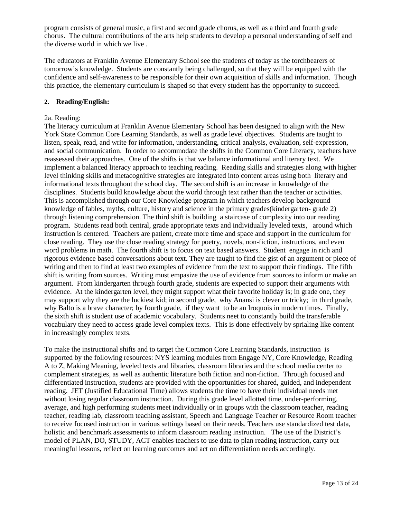program consists of general music, a first and second grade chorus, as well as a third and fourth grade chorus. The cultural contributions of the arts help students to develop a personal understanding of self and the diverse world in which we live .

The educators at Franklin Avenue Elementary School see the students of today as the torchbearers of tomorrow's knowledge. Students are constantly being challenged, so that they will be equipped with the confidence and self-awareness to be responsible for their own acquisition of skills and information. Though this practice, the elementary curriculum is shaped so that every student has the opportunity to succeed.

#### **2. Reading/English:**

#### 2a. Reading:

The literacy curriculum at Franklin Avenue Elementary School has been designed to align with the New York State Common Core Learning Standards, as well as grade level objectives. Students are taught to listen, speak, read, and write for information, understanding, critical analysis, evaluation, self-expression, and social communication. In order to accommodate the shifts in the Common Core Literacy, teachers have reassessed their approaches. One of the shifts is that we balance informational and literary text. We implement a balanced literacy approach to teaching reading. Reading skills and strategies along with higher level thinking skills and metacognitive strategies are integrated into content areas using both literary and informational texts throughout the school day. The second shift is an increase in knowledge of the disciplines. Students build knowledge about the world through text rather than the teacher or activities. This is accomplished through our Core Knowledge program in which teachers develop background knowledge of fables, myths, culture, history and science in the primary grades(kindergarten- grade 2) through listening comprehension. The third shift is building a staircase of complexity into our reading program. Students read both central, grade appropriate texts and individually leveled texts, around which instruction is centered. Teachers are patient, create more time and space and support in the curriculum for close reading. They use the close reading strategy for poetry, novels, non-fiction, instructions, and even word problems in math. The fourth shift is to focus on text based answers. Student engage in rich and rigorous evidence based conversations about text. They are taught to find the gist of an argument or piece of writing and then to find at least two examples of evidence from the text to support their findings. The fifth shift is writing from sources. Writing must empasize the use of evidence from sources to inform or make an argument. From kindergarten through fourth grade, students are expected to support their arguments with evidence. At the kindergarten level, they might support what their favorite holiday is; in grade one, they may support why they are the luckiest kid; in second grade, why Anansi is clever or tricky; in third grade, why Balto is a brave character; by fourth grade, if they want to be an Iroquois in modern times. Finally, the sixth shift is student use of academic vocabulary. Students neet to constantly build the transferable vocabulary they need to access grade level complex texts. This is done effectively by sprialing like content in increasingly complex texts.

To make the instructional shifts and to target the Common Core Learning Standards, instruction is supported by the following resources: NYS learning modules from Engage NY, Core Knowledge, Reading A to Z, Making Meaning, leveled texts and libraries, classroom libraries and the school media center to complement strategies, as well as authentic literature both fiction and non-fiction. Through focused and differentiated instruction, students are provided with the opportunities for shared, guided, and independent reading. JET (Justified Educational Time) allows students the time to have their individual needs met without losing regular classroom instruction. During this grade level allotted time, under-performing, average, and high performing students meet individually or in groups with the classroom teacher, reading teacher, reading lab, classroom teaching assistant, Speech and Language Teacher or Resource Room teacher to receive focused instruction in various settings based on their needs. Teachers use standardized test data, holistic and benchmark assessments to inform classroom reading instruction. The use of the District's model of PLAN, DO, STUDY, ACT enables teachers to use data to plan reading instruction, carry out meaningful lessons, reflect on learning outcomes and act on differentiation needs accordingly.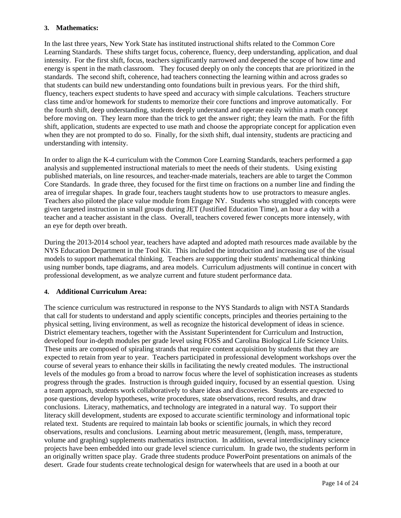#### **3. Mathematics:**

In the last three years, New York State has instituted instructional shifts related to the Common Core Learning Standards. These shifts target focus, coherence, fluency, deep understanding, application, and dual intensity. For the first shift, focus, teachers significantly narrowed and deepened the scope of how time and energy is spent in the math classroom. They focused deeply on only the concepts that are prioritized in the standards. The second shift, coherence, had teachers connecting the learning within and across grades so that students can build new understanding onto foundations built in previous years. For the third shift, fluency, teachers expect students to have speed and accuracy with simple calculations. Teachers structure class time and/or homework for students to memorize their core functions and improve automatically. For the fourth shift, deep understanding, students deeply understand and operate easily within a math concept before moving on. They learn more than the trick to get the answer right; they learn the math. For the fifth shift, application, students are expected to use math and choose the appropriate concept for application even when they are not prompted to do so. Finally, for the sixth shift, dual intensity, students are practicing and understanding with intensity.

In order to align the K-4 curriculum with the Common Core Learning Standards, teachers performed a gap analysis and supplemented instructional materials to meet the needs of their students. Using existing published materials, on line resources, and teacher-made materials, teachers are able to target the Common Core Standards. In grade three, they focused for the first time on fractions on a number line and finding the area of irregular shapes. In grade four, teachers taught students how to use protractors to measure angles. Teachers also piloted the place value module from Engage NY. Students who struggled with concepts were given targeted instruction in small groups during JET (Justified Education Time), an hour a day with a teacher and a teacher assistant in the class. Overall, teachers covered fewer concepts more intensely, with an eye for depth over breath.

During the 2013-2014 school year, teachers have adapted and adopted math resources made available by the NYS Education Department in the Tool Kit. This included the introduction and increasing use of the visual models to support mathematical thinking. Teachers are supporting their students' mathematical thinking using number bonds, tape diagrams, and area models. Curriculum adjustments will continue in concert with professional development, as we analyze current and future student performance data.

#### **4. Additional Curriculum Area:**

The science curriculum was restructured in response to the NYS Standards to align with NSTA Standards that call for students to understand and apply scientific concepts, principles and theories pertaining to the physical setting, living environment, as well as recognize the historical development of ideas in science. District elementary teachers, together with the Assistant Superintendent for Curriculum and Instruction, developed four in-depth modules per grade level using FOSS and Carolina Biological Life Science Units. These units are composed of spiraling strands that require content acquisition by students that they are expected to retain from year to year. Teachers participated in professional development workshops over the course of several years to enhance their skills in facilitating the newly created modules. The instructional levels of the modules go from a broad to narrow focus where the level of sophistication increases as students progress through the grades. Instruction is through guided inquiry, focused by an essential question. Using a team approach, students work collaboratively to share ideas and discoveries. Students are expected to pose questions, develop hypotheses, write procedures, state observations, record results, and draw conclusions. Literacy, mathematics, and technology are integrated in a natural way. To support their literacy skill development, students are exposed to accurate scientific terminology and informational topic related text. Students are required to maintain lab books or scientific journals, in which they record observations, results and conclusions. Learning about metric measurement, (length, mass, temperature, volume and graphing) supplements mathematics instruction. In addition, several interdisciplinary science projects have been embedded into our grade level science curriculum. In grade two, the students perform in an originally written space play. Grade three students produce PowerPoint presentations on animals of the desert. Grade four students create technological design for waterwheels that are used in a booth at our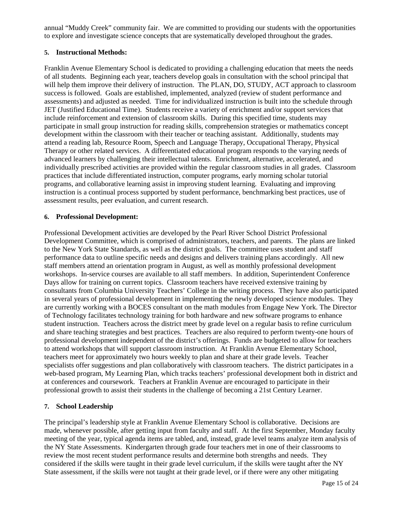annual "Muddy Creek" community fair. We are committed to providing our students with the opportunities to explore and investigate science concepts that are systematically developed throughout the grades.

### **5. Instructional Methods:**

Franklin Avenue Elementary School is dedicated to providing a challenging education that meets the needs of all students. Beginning each year, teachers develop goals in consultation with the school principal that will help them improve their delivery of instruction. The PLAN, DO, STUDY, ACT approach to classroom success is followed. Goals are established, implemented, analyzed (review of student performance and assessments) and adjusted as needed. Time for individualized instruction is built into the schedule through JET (Justified Educational Time). Students receive a variety of enrichment and/or support services that include reinforcement and extension of classroom skills. During this specified time, students may participate in small group instruction for reading skills, comprehension strategies or mathematics concept development within the classroom with their teacher or teaching assistant. Additionally, students may attend a reading lab, Resource Room, Speech and Language Therapy, Occupational Therapy, Physical Therapy or other related services. A differentiated educational program responds to the varying needs of advanced learners by challenging their intellectual talents. Enrichment, alternative, accelerated, and individually prescribed activities are provided within the regular classroom studies in all grades. Classroom practices that include differentiated instruction, computer programs, early morning scholar tutorial programs, and collaborative learning assist in improving student learning. Evaluating and improving instruction is a continual process supported by student performance, benchmarking best practices, use of assessment results, peer evaluation, and current research.

#### **6. Professional Development:**

Professional Development activities are developed by the Pearl River School District Professional Development Committee, which is comprised of administrators, teachers, and parents. The plans are linked to the New York State Standards, as well as the district goals. The committee uses student and staff performance data to outline specific needs and designs and delivers training plans accordingly. All new staff members attend an orientation program in August, as well as monthly professional development workshops. In-service courses are available to all staff members. In addition, Superintendent Conference Days allow for training on current topics. Classroom teachers have received extensive training by consultants from Columbia University Teachers' College in the writing process. They have also participated in several years of professional development in implementing the newly developed science modules. They are currently working with a BOCES consultant on the math modules from Engage New York. The Director of Technology facilitates technology training for both hardware and new software programs to enhance student instruction. Teachers across the district meet by grade level on a regular basis to refine curriculum and share teaching strategies and best practices. Teachers are also required to perform twenty-one hours of professional development independent of the district's offerings. Funds are budgeted to allow for teachers to attend workshops that will support classroom instruction. At Franklin Avenue Elementary School, teachers meet for approximately two hours weekly to plan and share at their grade levels. Teacher specialists offer suggestions and plan collaboratively with classroom teachers. The district participates in a web-based program, My Learning Plan, which tracks teachers' professional development both in district and at conferences and coursework. Teachers at Franklin Avenue are encouraged to participate in their professional growth to assist their students in the challenge of becoming a 21st Century Learner.

### **7. School Leadership**

The principal's leadership style at Franklin Avenue Elementary School is collaborative. Decisions are made, whenever possible, after getting input from faculty and staff. At the first September, Monday faculty meeting of the year, typical agenda items are tabled, and, instead, grade level teams analyze item analysis of the NY State Assessments. Kindergarten through grade four teachers met in one of their classrooms to review the most recent student performance results and determine both strengths and needs. They considered if the skills were taught in their grade level curriculum, if the skills were taught after the NY State assessment, if the skills were not taught at their grade level, or if there were any other mitigating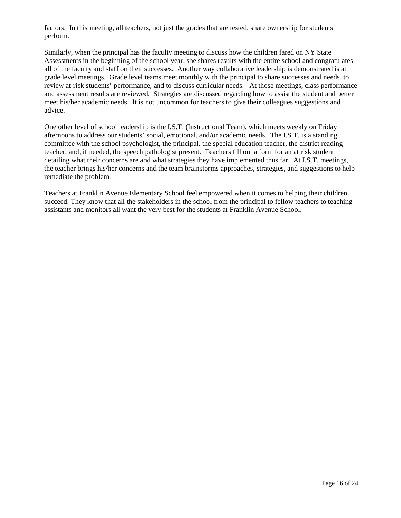factors. In this meeting, all teachers, not just the grades that are tested, share ownership for students perform.

Similarly, when the principal has the faculty meeting to discuss how the children fared on NY State Assessments in the beginning of the school year, she shares results with the entire school and congratulates all of the faculty and staff on their successes. Another way collaborative leadership is demonstrated is at grade level meetings. Grade level teams meet monthly with the principal to share successes and needs, to review at-risk students' performance, and to discuss curricular needs. At those meetings, class performance and assessment results are reviewed. Strategies are discussed regarding how to assist the student and better meet his/her academic needs. It is not uncommon for teachers to give their colleagues suggestions and advice.

One other level of school leadership is the I.S.T. (Instructional Team), which meets weekly on Friday afternoons to address our students' social, emotional, and/or academic needs. The I.S.T. is a standing committee with the school psychologist, the principal, the special education teacher, the district reading teacher, and, if needed, the speech pathologist present. Teachers fill out a form for an at risk student detailing what their concerns are and what strategies they have implemented thus far. At I.S.T. meetings, the teacher brings his/her concerns and the team brainstorms approaches, strategies, and suggestions to help remediate the problem.

Teachers at Franklin Avenue Elementary School feel empowered when it comes to helping their children succeed. They know that all the stakeholders in the school from the principal to fellow teachers to teaching assistants and monitors all want the very best for the students at Franklin Avenue School.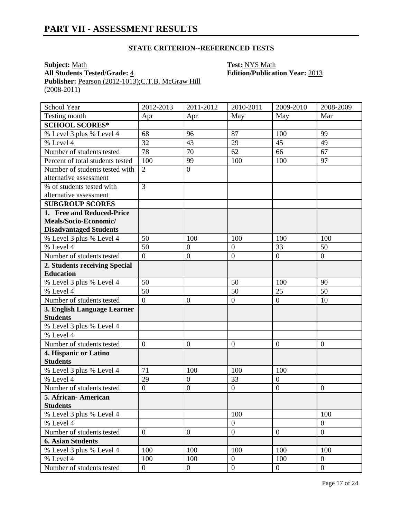### **STATE CRITERION--REFERENCED TESTS**

**Subject:** <u>Math</u><br> **All Students Tested/Grade:** 4 **Test: NYS Math**<br> **Edition/Publicat** Publisher: Pearson (2012-1013);C.T.B. McGraw Hill  $(2008 - 2011)$ 

**All Students Tested/Grade:** 4 **Edition/Publication Year:** 2013

| School Year                                    | 2012-2013        | 2011-2012        | 2010-2011      | 2009-2010        | 2008-2009      |
|------------------------------------------------|------------------|------------------|----------------|------------------|----------------|
| Testing month                                  | Apr              | Apr              | May            | May              | Mar            |
| <b>SCHOOL SCORES*</b>                          |                  |                  |                |                  |                |
| % Level 3 plus % Level 4                       | 68               | 96               | 87             | 100              | 99             |
| % Level 4                                      | 32               | 43               | 29             | 45               | 49             |
| Number of students tested                      | 78               | 70               | 62             | 66               | 67             |
| Percent of total students tested               | 100              | 99               | 100            | 100              | 97             |
| Number of students tested with                 | $\overline{2}$   | $\overline{0}$   |                |                  |                |
| alternative assessment                         |                  |                  |                |                  |                |
| % of students tested with                      | $\overline{3}$   |                  |                |                  |                |
| alternative assessment                         |                  |                  |                |                  |                |
| <b>SUBGROUP SCORES</b>                         |                  |                  |                |                  |                |
| 1. Free and Reduced-Price                      |                  |                  |                |                  |                |
| Meals/Socio-Economic/                          |                  |                  |                |                  |                |
| <b>Disadvantaged Students</b>                  |                  |                  |                |                  |                |
| % Level 3 plus % Level 4                       | 50               | 100              | 100            | 100              | 100            |
| % Level 4                                      | 50               | $\overline{0}$   | $\overline{0}$ | 33               | 50             |
| Number of students tested                      | $\overline{0}$   | $\boldsymbol{0}$ | $\mathbf{0}$   | $\overline{0}$   | $\overline{0}$ |
| 2. Students receiving Special                  |                  |                  |                |                  |                |
| <b>Education</b>                               |                  |                  |                |                  |                |
| % Level 3 plus % Level 4                       | 50               |                  | 50             | 100              | 90             |
| % Level 4                                      | 50               |                  | 50             | 25               | 50             |
| Number of students tested                      | $\overline{0}$   | $\boldsymbol{0}$ | $\overline{0}$ | $\boldsymbol{0}$ | 10             |
| 3. English Language Learner<br><b>Students</b> |                  |                  |                |                  |                |
| % Level 3 plus % Level 4                       |                  |                  |                |                  |                |
| % Level 4                                      |                  |                  |                |                  |                |
| Number of students tested                      | $\boldsymbol{0}$ | $\boldsymbol{0}$ | $\mathbf{0}$   | $\boldsymbol{0}$ | $\mathbf{0}$   |
| 4. Hispanic or Latino                          |                  |                  |                |                  |                |
| <b>Students</b>                                |                  |                  |                |                  |                |
| % Level 3 plus % Level 4                       | 71               | 100              | 100            | 100              |                |
| % Level $\overline{4}$                         | 29               | $\boldsymbol{0}$ | 33             | $\boldsymbol{0}$ |                |
| Number of students tested                      | $\overline{0}$   | $\boldsymbol{0}$ | $\overline{0}$ | $\overline{0}$   | $\mathbf{0}$   |
| 5. African- American                           |                  |                  |                |                  |                |
| <b>Students</b>                                |                  |                  |                |                  |                |
| % Level 3 plus % Level 4                       |                  |                  | 100            |                  | 100            |
| % Level 4                                      |                  |                  | $\mathbf{0}$   |                  | $\mathbf{0}$   |
| Number of students tested                      | $\overline{0}$   | $\boldsymbol{0}$ | $\mathbf{0}$   | $\overline{0}$   | $\overline{0}$ |
| <b>6. Asian Students</b>                       |                  |                  |                |                  |                |
| % Level 3 plus % Level 4                       | 100              | 100              | 100            | 100              | 100            |
| % Level 4                                      | 100              | 100              | $\overline{0}$ | 100              | $\mathbf{0}$   |
| Number of students tested                      | $\overline{0}$   | $\boldsymbol{0}$ | $\overline{0}$ | $\overline{0}$   | $\overline{0}$ |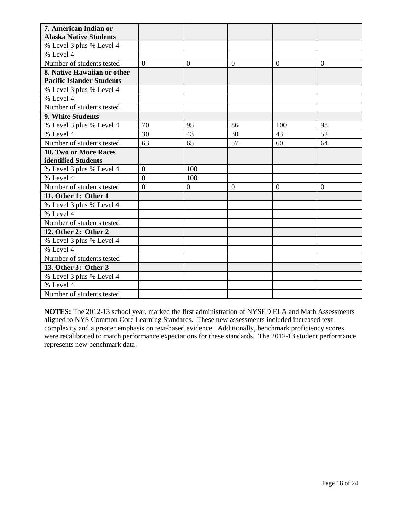| 7. American Indian or            |                |                  |                |                |                |
|----------------------------------|----------------|------------------|----------------|----------------|----------------|
| <b>Alaska Native Students</b>    |                |                  |                |                |                |
| % Level 3 plus % Level 4         |                |                  |                |                |                |
| % Level 4                        |                |                  |                |                |                |
| Number of students tested        | $\theta$       | $\theta$         | $\theta$       | $\Omega$       | $\theta$       |
| 8. Native Hawaiian or other      |                |                  |                |                |                |
| <b>Pacific Islander Students</b> |                |                  |                |                |                |
| % Level 3 plus % Level 4         |                |                  |                |                |                |
| % Level 4                        |                |                  |                |                |                |
| Number of students tested        |                |                  |                |                |                |
| 9. White Students                |                |                  |                |                |                |
| % Level 3 plus % Level 4         | 70             | 95               | 86             | 100            | 98             |
| % Level 4                        | 30             | 43               | 30             | 43             | 52             |
| Number of students tested        | 63             | 65               | 57             | 60             | 64             |
| 10. Two or More Races            |                |                  |                |                |                |
| identified Students              |                |                  |                |                |                |
| % Level 3 plus % Level 4         | $\overline{0}$ | 100              |                |                |                |
| % Level 4                        | $\overline{0}$ | 100              |                |                |                |
| Number of students tested        | $\overline{0}$ | $\boldsymbol{0}$ | $\overline{0}$ | $\overline{0}$ | $\overline{0}$ |
| 11. Other 1: Other 1             |                |                  |                |                |                |
| % Level 3 plus % Level 4         |                |                  |                |                |                |
| % Level 4                        |                |                  |                |                |                |
| Number of students tested        |                |                  |                |                |                |
| 12. Other 2: Other 2             |                |                  |                |                |                |
| % Level 3 plus % Level 4         |                |                  |                |                |                |
| % Level 4                        |                |                  |                |                |                |
| Number of students tested        |                |                  |                |                |                |
| 13. Other 3: Other 3             |                |                  |                |                |                |
| % Level 3 plus % Level 4         |                |                  |                |                |                |
| % Level 4                        |                |                  |                |                |                |
| Number of students tested        |                |                  |                |                |                |

**NOTES:** The 2012-13 school year, marked the first administration of NYSED ELA and Math Assessments aligned to NYS Common Core Learning Standards. These new assessments included increased text complexity and a greater emphasis on text-based evidence. Additionally, benchmark proficiency scores were recalibrated to match performance expectations for these standards. The 2012-13 student performance represents new benchmark data.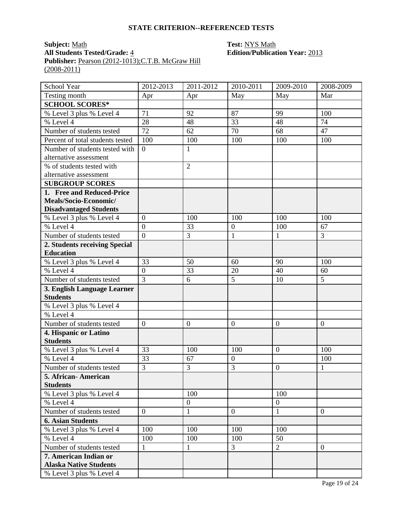#### **STATE CRITERION--REFERENCED TESTS**

# **Subject:** <u>Math</u><br> **All Students Tested/Grade:** 4 **Test: NYS Math**<br> **Edition/Publicat Publisher:** <u>Pearson (2012-1013);C.T.B. McGraw Hill</u>  $(2008-2011)$

# **All Students Tested/Grade:** 4 **Edition/Publication Year:** 2013

| School Year                                            | 2012-2013      | 2011-2012        | 2010-2011      | 2009-2010        | 2008-2009      |
|--------------------------------------------------------|----------------|------------------|----------------|------------------|----------------|
| Testing month                                          | Apr            | Apr              | May            | May              | Mar            |
| <b>SCHOOL SCORES*</b>                                  |                |                  |                |                  |                |
| % Level 3 plus % Level 4                               | 71             | 92               | 87             | 99               | 100            |
| % Level 4                                              | 28             | 48               | 33             | 48               | 74             |
| Number of students tested                              | 72             | 62               | 70             | 68               | 47             |
| Percent of total students tested                       | 100            | 100              | 100            | 100              | 100            |
| Number of students tested with                         | $\overline{0}$ | $\mathbf{1}$     |                |                  |                |
| alternative assessment                                 |                |                  |                |                  |                |
| % of students tested with                              |                | $\overline{2}$   |                |                  |                |
| alternative assessment                                 |                |                  |                |                  |                |
| <b>SUBGROUP SCORES</b>                                 |                |                  |                |                  |                |
| 1. Free and Reduced-Price                              |                |                  |                |                  |                |
| Meals/Socio-Economic/                                  |                |                  |                |                  |                |
| <b>Disadvantaged Students</b>                          |                |                  |                |                  |                |
| % Level 3 plus % Level 4                               | $\overline{0}$ | 100              | 100            | 100              | 100            |
| % Level $4$                                            | $\overline{0}$ | 33               | $\mathbf{0}$   | 100              | 67             |
| Number of students tested                              | $\overline{0}$ | 3                | $\mathbf{1}$   | $\mathbf{1}$     | 3              |
| 2. Students receiving Special                          |                |                  |                |                  |                |
| <b>Education</b>                                       |                |                  |                |                  |                |
| % Level 3 plus % Level 4                               | 33             | 50               | 60             | 90               | 100            |
| % Level 4                                              | $\overline{0}$ | 33               | 20             | 40               | 60             |
| Number of students tested                              | $\overline{3}$ | 6                | 5              | 10               | 5              |
| 3. English Language Learner                            |                |                  |                |                  |                |
| <b>Students</b>                                        |                |                  |                |                  |                |
| % Level 3 plus % Level 4                               |                |                  |                |                  |                |
| % Level 4                                              |                |                  |                |                  |                |
| Number of students tested                              | $\overline{0}$ | $\boldsymbol{0}$ | $\overline{0}$ | $\overline{0}$   | $\overline{0}$ |
| 4. Hispanic or Latino                                  |                |                  |                |                  |                |
| <b>Students</b>                                        |                |                  |                |                  |                |
| % Level 3 plus % Level 4                               | 33             | 100              | 100            | $\overline{0}$   | 100            |
| % Level 4                                              | 33             | 67               | $\overline{0}$ |                  | 100            |
| Number of students tested                              | $\overline{3}$ | 3                | 3              | $\boldsymbol{0}$ | $\mathbf{1}$   |
| 5. African-American                                    |                |                  |                |                  |                |
| <b>Students</b>                                        |                |                  |                |                  |                |
| % Level 3 plus % Level 4<br>% Level 4                  |                | 100              |                | 100              |                |
|                                                        |                | $\boldsymbol{0}$ |                | $\boldsymbol{0}$ |                |
| Number of students tested                              | $\overline{0}$ | 1                | $\mathbf{0}$   | 1                | $\overline{0}$ |
| <b>6. Asian Students</b>                               |                |                  |                |                  |                |
| % Level 3 plus % Level 4                               | 100            | 100              | 100            | 100              |                |
| % Level 4                                              | 100            | 100              | 100            | 50               |                |
| Number of students tested                              | $\mathbf{1}$   | 1                | 3              | $\overline{2}$   | $\mathbf{0}$   |
| 7. American Indian or<br><b>Alaska Native Students</b> |                |                  |                |                  |                |
|                                                        |                |                  |                |                  |                |
| % Level 3 plus % Level 4                               |                |                  |                |                  |                |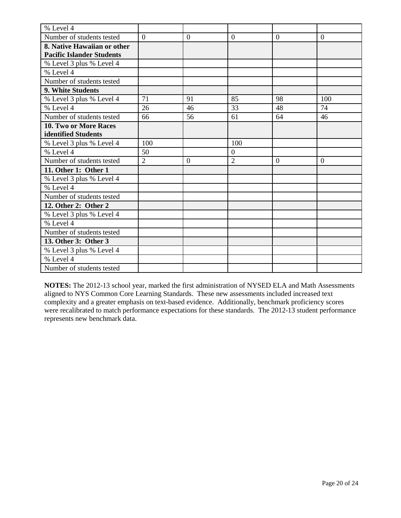| % Level 4                        |                |                  |                |                |                  |
|----------------------------------|----------------|------------------|----------------|----------------|------------------|
| Number of students tested        | $\overline{0}$ | $\boldsymbol{0}$ | $\overline{0}$ | $\overline{0}$ | $\boldsymbol{0}$ |
| 8. Native Hawaiian or other      |                |                  |                |                |                  |
| <b>Pacific Islander Students</b> |                |                  |                |                |                  |
| % Level 3 plus % Level 4         |                |                  |                |                |                  |
| % Level 4                        |                |                  |                |                |                  |
| Number of students tested        |                |                  |                |                |                  |
| 9. White Students                |                |                  |                |                |                  |
| % Level 3 plus % Level 4         | 71             | 91               | 85             | 98             | 100              |
| % Level 4                        | 26             | 46               | 33             | 48             | 74               |
| Number of students tested        | 66             | 56               | 61             | 64             | 46               |
| <b>10. Two or More Races</b>     |                |                  |                |                |                  |
| identified Students              |                |                  |                |                |                  |
| % Level 3 plus % Level 4         | 100            |                  | 100            |                |                  |
| % Level 4                        | 50             |                  | $\overline{0}$ |                |                  |
| Number of students tested        | $\overline{2}$ | $\theta$         | $\overline{2}$ | $\Omega$       | $\overline{0}$   |
| 11. Other 1: Other 1             |                |                  |                |                |                  |
| % Level 3 plus % Level 4         |                |                  |                |                |                  |
| % Level 4                        |                |                  |                |                |                  |
| Number of students tested        |                |                  |                |                |                  |
| 12. Other 2: Other 2             |                |                  |                |                |                  |
| % Level 3 plus % Level 4         |                |                  |                |                |                  |
| % Level 4                        |                |                  |                |                |                  |
| Number of students tested        |                |                  |                |                |                  |
| 13. Other 3: Other 3             |                |                  |                |                |                  |
| % Level 3 plus % Level 4         |                |                  |                |                |                  |
| % Level 4                        |                |                  |                |                |                  |
| Number of students tested        |                |                  |                |                |                  |

**NOTES:** The 2012-13 school year, marked the first administration of NYSED ELA and Math Assessments aligned to NYS Common Core Learning Standards. These new assessments included increased text complexity and a greater emphasis on text-based evidence. Additionally, benchmark proficiency scores were recalibrated to match performance expectations for these standards. The 2012-13 student performance represents new benchmark data.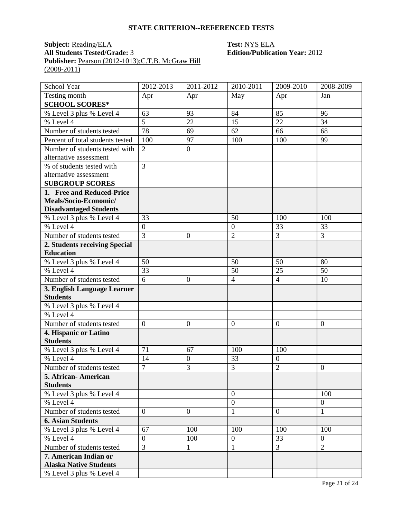#### **STATE CRITERION--REFERENCED TESTS**

# **Subject:** <u>Reading/ELA</u> **Test: NYS ELA All Students Tested/Grade:** 3 **Edition/Publica Publisher:** <u>Pearson (2012-1013);C.T.B. McGraw Hill</u>  $(2008 - 2011)$

# **Edition/Publication Year: 2012**

| School Year                          | 2012-2013      | 2011-2012        | 2010-2011        | 2009-2010        | 2008-2009        |
|--------------------------------------|----------------|------------------|------------------|------------------|------------------|
| Testing month                        | Apr            | Apr              | May              | Apr              | Jan              |
| <b>SCHOOL SCORES*</b>                |                |                  |                  |                  |                  |
| $\frac{1}{2}$ Level 3 plus % Level 4 | 63             | 93               | 84               | 85               | 96               |
| % Level 4                            | $\overline{5}$ | 22               | 15               | 22               | 34               |
| Number of students tested            | 78             | 69               | 62               | 66               | 68               |
| Percent of total students tested     | 100            | 97               | 100              | 100              | 99               |
| Number of students tested with       | $\overline{2}$ | $\overline{0}$   |                  |                  |                  |
| alternative assessment               |                |                  |                  |                  |                  |
| % of students tested with            | 3              |                  |                  |                  |                  |
| alternative assessment               |                |                  |                  |                  |                  |
| <b>SUBGROUP SCORES</b>               |                |                  |                  |                  |                  |
| 1. Free and Reduced-Price            |                |                  |                  |                  |                  |
| Meals/Socio-Economic/                |                |                  |                  |                  |                  |
| <b>Disadvantaged Students</b>        |                |                  |                  |                  |                  |
| % Level 3 plus % Level 4             | 33             |                  | 50               | 100              | 100              |
| % Level 4                            | $\overline{0}$ |                  | $\overline{0}$   | 33               | 33               |
| Number of students tested            | $\overline{3}$ | $\boldsymbol{0}$ | $\overline{2}$   | 3                | 3                |
| 2. Students receiving Special        |                |                  |                  |                  |                  |
| <b>Education</b>                     |                |                  |                  |                  |                  |
| % Level 3 plus % Level 4             | 50             |                  | 50               | 50               | 80               |
| % Level $4$                          | 33             |                  | 50               | 25               | 50               |
| Number of students tested            | $\overline{6}$ | $\overline{0}$   | $\overline{4}$   | $\overline{4}$   | 10               |
| 3. English Language Learner          |                |                  |                  |                  |                  |
| <b>Students</b>                      |                |                  |                  |                  |                  |
| % Level 3 plus % Level 4             |                |                  |                  |                  |                  |
| % Level 4                            |                |                  |                  |                  |                  |
| Number of students tested            | $\mathbf{0}$   | $\boldsymbol{0}$ | $\boldsymbol{0}$ | $\boldsymbol{0}$ | $\overline{0}$   |
| 4. Hispanic or Latino                |                |                  |                  |                  |                  |
| <b>Students</b>                      |                |                  |                  |                  |                  |
| % Level 3 plus % Level 4             | 71             | 67               | 100              | 100              |                  |
| % Level 4                            | 14             | $\boldsymbol{0}$ | 33               | $\boldsymbol{0}$ |                  |
| Number of students tested            | $\overline{7}$ | 3                | 3                | $\overline{2}$   | $\boldsymbol{0}$ |
| 5. African- American                 |                |                  |                  |                  |                  |
| <b>Students</b>                      |                |                  |                  |                  |                  |
| % Level 3 plus % Level 4             |                |                  | $\overline{0}$   |                  | 100              |
| % Level 4                            |                |                  | $\overline{0}$   |                  | $\mathbf{0}$     |
| Number of students tested            | $\overline{0}$ | $\mathbf{0}$     | $\mathbf{1}$     | $\overline{0}$   | $\mathbf{1}$     |
| <b>6. Asian Students</b>             |                |                  |                  |                  |                  |
| % Level 3 plus % Level 4             | 67             | 100              | 100              | 100              | 100              |
| % Level 4                            | $\overline{0}$ | 100              | $\overline{0}$   | 33               | $\overline{0}$   |
| Number of students tested            | $\overline{3}$ | $\mathbf{1}$     | $\mathbf{1}$     | $\overline{3}$   | $\overline{2}$   |
| 7. American Indian or                |                |                  |                  |                  |                  |
| <b>Alaska Native Students</b>        |                |                  |                  |                  |                  |
| % Level 3 plus % Level 4             |                |                  |                  |                  |                  |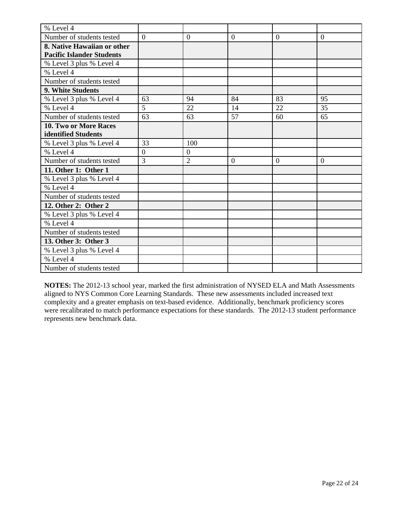| % Level 4                        |                  |                |                |                  |                  |
|----------------------------------|------------------|----------------|----------------|------------------|------------------|
| Number of students tested        | $\overline{0}$   | $\mathbf{0}$   | $\overline{0}$ | $\boldsymbol{0}$ | $\boldsymbol{0}$ |
| 8. Native Hawaiian or other      |                  |                |                |                  |                  |
| <b>Pacific Islander Students</b> |                  |                |                |                  |                  |
| % Level 3 plus % Level 4         |                  |                |                |                  |                  |
| % Level 4                        |                  |                |                |                  |                  |
| Number of students tested        |                  |                |                |                  |                  |
| 9. White Students                |                  |                |                |                  |                  |
| % Level 3 plus % Level 4         | 63               | 94             | 84             | 83               | 95               |
| % Level 4                        | 5                | 22             | 14             | 22               | 35               |
| Number of students tested        | 63               | 63             | 57             | 60               | 65               |
| <b>10. Two or More Races</b>     |                  |                |                |                  |                  |
| identified Students              |                  |                |                |                  |                  |
| % Level 3 plus % Level 4         | 33               | 100            |                |                  |                  |
| % Level 4                        | $\boldsymbol{0}$ | $\overline{0}$ |                |                  |                  |
| Number of students tested        | 3                | $\overline{2}$ | $\overline{0}$ | $\theta$         | $\Omega$         |
| 11. Other 1: Other 1             |                  |                |                |                  |                  |
| % Level 3 plus % Level 4         |                  |                |                |                  |                  |
| % Level 4                        |                  |                |                |                  |                  |
| Number of students tested        |                  |                |                |                  |                  |
| 12. Other 2: Other 2             |                  |                |                |                  |                  |
| % Level 3 plus % Level 4         |                  |                |                |                  |                  |
| % Level 4                        |                  |                |                |                  |                  |
| Number of students tested        |                  |                |                |                  |                  |
| 13. Other 3: Other 3             |                  |                |                |                  |                  |
| % Level 3 plus % Level 4         |                  |                |                |                  |                  |
| % Level 4                        |                  |                |                |                  |                  |
| Number of students tested        |                  |                |                |                  |                  |

**NOTES:** The 2012-13 school year, marked the first administration of NYSED ELA and Math Assessments aligned to NYS Common Core Learning Standards. These new assessments included increased text complexity and a greater emphasis on text-based evidence. Additionally, benchmark proficiency scores were recalibrated to match performance expectations for these standards. The 2012-13 student performance represents new benchmark data.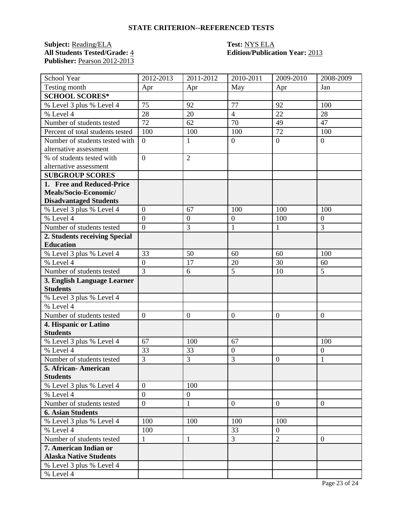## **STATE CRITERION--REFERENCED TESTS**

**Subject:** <u>Reading/ELA</u> **Test: NYS ELA All Students Tested/Grade:** 4 **Edition/Publica Publisher:** Pearson 2012-2013

# **All Students Tested/Grade:** 4 **Edition/Publication Year:** 2013

| School Year                                    | 2012-2013                          | 2011-2012        | 2010-2011        | 2009-2010        | 2008-2009        |
|------------------------------------------------|------------------------------------|------------------|------------------|------------------|------------------|
| Testing month                                  | Apr                                | Apr              | May              | Apr              | Jan              |
| <b>SCHOOL SCORES*</b>                          |                                    |                  |                  |                  |                  |
| % Level 3 plus % Level 4                       | 75                                 | 92               | 77               | 92               | 100              |
| % Level 4                                      | 28                                 | 20               | $\overline{4}$   | 22               | 28               |
| Number of students tested                      | 72                                 | 62               | 70               | 49               | 47               |
| Percent of total students tested               | 100                                | 100              | 100              | $\overline{72}$  | 100              |
| Number of students tested with                 | $\theta$                           | $\mathbf{1}$     | $\overline{0}$   | $\overline{0}$   | $\overline{0}$   |
| alternative assessment                         |                                    |                  |                  |                  |                  |
| % of students tested with                      | $\overline{0}$                     | $\overline{2}$   |                  |                  |                  |
| alternative assessment                         |                                    |                  |                  |                  |                  |
| <b>SUBGROUP SCORES</b>                         |                                    |                  |                  |                  |                  |
| 1. Free and Reduced-Price                      |                                    |                  |                  |                  |                  |
| Meals/Socio-Economic/                          |                                    |                  |                  |                  |                  |
| <b>Disadvantaged Students</b>                  |                                    |                  |                  |                  |                  |
| % Level 3 plus % Level 4                       | $\boldsymbol{0}$                   | 67               | 100              | 100              | 100              |
| % Level 4                                      | $\overline{0}$                     | $\overline{0}$   | $\boldsymbol{0}$ | 100              | $\overline{0}$   |
| Number of students tested                      | $\overline{0}$                     | 3                | $\mathbf{1}$     | $\mathbf{1}$     | 3                |
| 2. Students receiving Special                  |                                    |                  |                  |                  |                  |
| <b>Education</b>                               |                                    |                  |                  |                  |                  |
| % Level 3 plus % Level 4                       | 33                                 | 50               | 60               | 60<br>30         | 100              |
| % Level 4                                      | $\boldsymbol{0}$<br>$\overline{3}$ | 17               | 20<br>5          |                  | 60<br>5          |
| Number of students tested                      |                                    | 6                |                  | 10               |                  |
| 3. English Language Learner<br><b>Students</b> |                                    |                  |                  |                  |                  |
| % Level 3 plus % Level 4                       |                                    |                  |                  |                  |                  |
| % Level 4                                      |                                    |                  |                  |                  |                  |
| Number of students tested                      | $\boldsymbol{0}$                   | $\boldsymbol{0}$ | $\mathbf{0}$     | $\boldsymbol{0}$ | $\boldsymbol{0}$ |
| 4. Hispanic or Latino                          |                                    |                  |                  |                  |                  |
| <b>Students</b>                                |                                    |                  |                  |                  |                  |
| % Level 3 plus % Level 4                       | 67                                 | 100              | 67               |                  | 100              |
| % Level 4                                      | 33                                 | 33               | $\mathbf{0}$     |                  | $\boldsymbol{0}$ |
| Number of students tested                      | 3                                  | 3                | 3                | $\overline{0}$   | 1                |
| 5. African-American                            |                                    |                  |                  |                  |                  |
| <b>Students</b>                                |                                    |                  |                  |                  |                  |
| % Level 3 plus % Level 4                       | $\overline{0}$                     | 100              |                  |                  |                  |
| % Level 4                                      | $\overline{0}$                     | $\boldsymbol{0}$ |                  |                  |                  |
| Number of students tested                      | $\overline{0}$                     | $\mathbf{1}$     | $\overline{0}$   | $\overline{0}$   | $\overline{0}$   |
| <b>6. Asian Students</b>                       |                                    |                  |                  |                  |                  |
| % Level 3 plus % Level 4                       | 100                                | 100              | 100              | 100              |                  |
| % Level 4                                      | 100                                |                  | 33               | $\overline{0}$   |                  |
| Number of students tested                      | $\mathbf{1}$                       | $\mathbf{1}$     | $\overline{3}$   | $\overline{2}$   | $\overline{0}$   |
| 7. American Indian or                          |                                    |                  |                  |                  |                  |
| <b>Alaska Native Students</b>                  |                                    |                  |                  |                  |                  |
| % Level 3 plus % Level 4                       |                                    |                  |                  |                  |                  |
| % Level 4                                      |                                    |                  |                  |                  |                  |